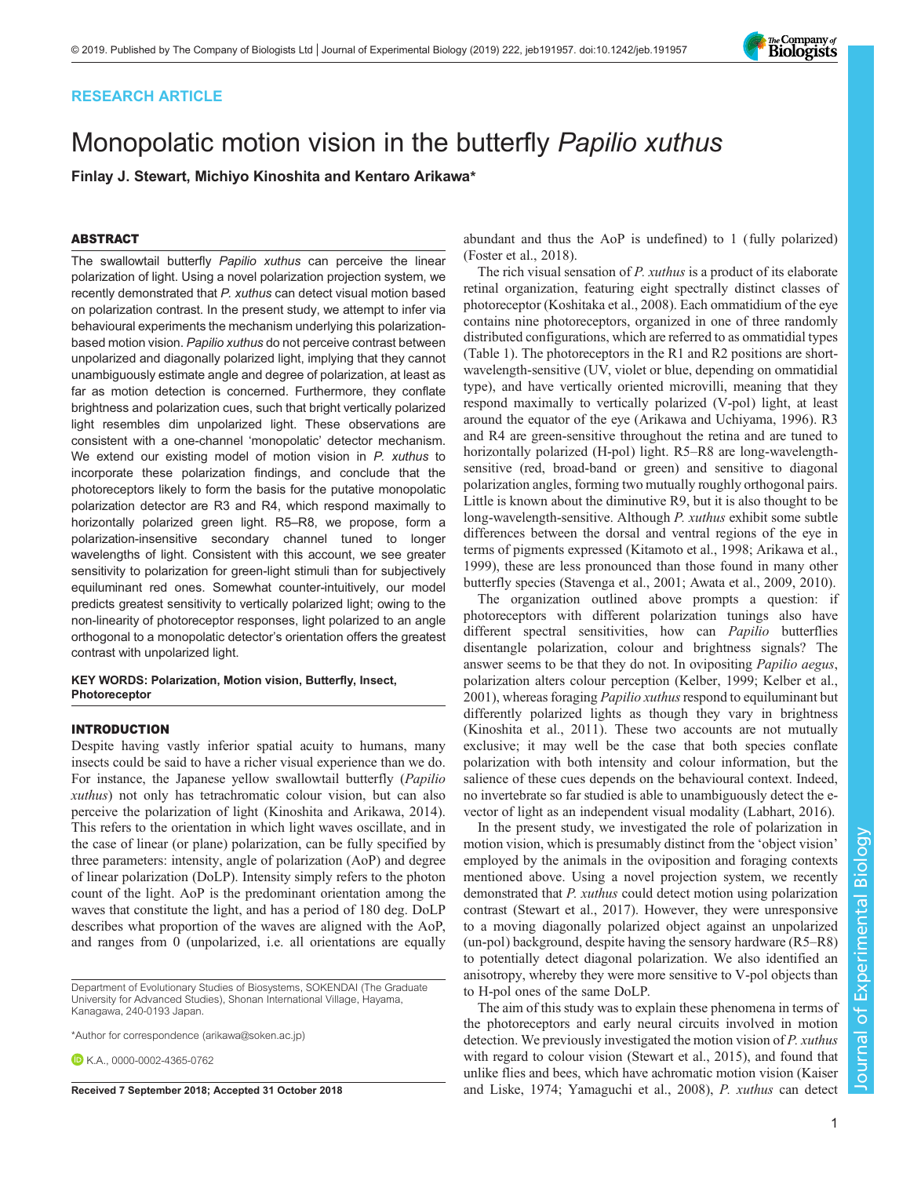## RESEARCH ARTICLE

# Monopolatic motion vision in the butterfly Papilio xuthus

Finlay J. Stewart, Michiyo Kinoshita and Kentaro Arikawa\*

## ABSTRACT

The swallowtail butterfly Papilio xuthus can perceive the linear polarization of light. Using a novel polarization projection system, we recently demonstrated that P. xuthus can detect visual motion based on polarization contrast. In the present study, we attempt to infer via behavioural experiments the mechanism underlying this polarizationbased motion vision. Papilio xuthus do not perceive contrast between unpolarized and diagonally polarized light, implying that they cannot unambiguously estimate angle and degree of polarization, at least as far as motion detection is concerned. Furthermore, they conflate brightness and polarization cues, such that bright vertically polarized light resembles dim unpolarized light. These observations are consistent with a one-channel 'monopolatic' detector mechanism. We extend our existing model of motion vision in P. xuthus to incorporate these polarization findings, and conclude that the photoreceptors likely to form the basis for the putative monopolatic polarization detector are R3 and R4, which respond maximally to horizontally polarized green light. R5–R8, we propose, form a polarization-insensitive secondary channel tuned to longer wavelengths of light. Consistent with this account, we see greater sensitivity to polarization for green-light stimuli than for subjectively equiluminant red ones. Somewhat counter-intuitively, our model predicts greatest sensitivity to vertically polarized light; owing to the non-linearity of photoreceptor responses, light polarized to an angle orthogonal to a monopolatic detector's orientation offers the greatest contrast with unpolarized light.

## KEY WORDS: Polarization, Motion vision, Butterfly, Insect, **Photoreceptor**

#### INTRODUCTION

Despite having vastly inferior spatial acuity to humans, many insects could be said to have a richer visual experience than we do. For instance, the Japanese yellow swallowtail butterfly (Papilio xuthus) not only has tetrachromatic colour vision, but can also perceive the polarization of light ([Kinoshita and Arikawa, 2014\)](#page-7-0). This refers to the orientation in which light waves oscillate, and in the case of linear (or plane) polarization, can be fully specified by three parameters: intensity, angle of polarization (AoP) and degree of linear polarization (DoLP). Intensity simply refers to the photon count of the light. AoP is the predominant orientation among the waves that constitute the light, and has a period of 180 deg. DoLP describes what proportion of the waves are aligned with the AoP, and ranges from 0 (unpolarized, i.e. all orientations are equally

abundant and thus the AoP is undefined) to 1 (fully polarized) [\(Foster et al., 2018](#page-7-0)).

The rich visual sensation of P. xuthus is a product of its elaborate retinal organization, featuring eight spectrally distinct classes of photoreceptor [\(Koshitaka et al., 2008](#page-7-0)). Each ommatidium of the eye contains nine photoreceptors, organized in one of three randomly distributed configurations, which are referred to as ommatidial types [\(Table 1](#page-1-0)). The photoreceptors in the R1 and R2 positions are shortwavelength-sensitive (UV, violet or blue, depending on ommatidial type), and have vertically oriented microvilli, meaning that they respond maximally to vertically polarized (V-pol) light, at least around the equator of the eye [\(Arikawa and Uchiyama, 1996\)](#page-7-0). R3 and R4 are green-sensitive throughout the retina and are tuned to horizontally polarized (H-pol) light. R5–R8 are long-wavelengthsensitive (red, broad-band or green) and sensitive to diagonal polarization angles, forming two mutually roughly orthogonal pairs. Little is known about the diminutive R9, but it is also thought to be long-wavelength-sensitive. Although P. xuthus exhibit some subtle differences between the dorsal and ventral regions of the eye in terms of pigments expressed [\(Kitamoto et al., 1998](#page-7-0); [Arikawa et al.,](#page-7-0) [1999\)](#page-7-0), these are less pronounced than those found in many other butterfly species ([Stavenga et al., 2001](#page-7-0); [Awata et al., 2009](#page-7-0), [2010](#page-7-0)).

The organization outlined above prompts a question: if photoreceptors with different polarization tunings also have different spectral sensitivities, how can *Papilio* butterflies disentangle polarization, colour and brightness signals? The answer seems to be that they do not. In ovipositing Papilio aegus, polarization alters colour perception [\(Kelber, 1999; Kelber et al.,](#page-7-0) [2001\)](#page-7-0), whereas foraging *Papilio xuthus* respond to equiluminant but differently polarized lights as though they vary in brightness [\(Kinoshita et al., 2011](#page-7-0)). These two accounts are not mutually exclusive; it may well be the case that both species conflate polarization with both intensity and colour information, but the salience of these cues depends on the behavioural context. Indeed, no invertebrate so far studied is able to unambiguously detect the evector of light as an independent visual modality [\(Labhart, 2016\)](#page-7-0).

In the present study, we investigated the role of polarization in motion vision, which is presumably distinct from the 'object vision' employed by the animals in the oviposition and foraging contexts mentioned above. Using a novel projection system, we recently demonstrated that *P. xuthus* could detect motion using polarization contrast [\(Stewart et al., 2017\)](#page-7-0). However, they were unresponsive to a moving diagonally polarized object against an unpolarized (un-pol) background, despite having the sensory hardware (R5–R8) to potentially detect diagonal polarization. We also identified an anisotropy, whereby they were more sensitive to V-pol objects than to H-pol ones of the same DoLP.

The aim of this study was to explain these phenomena in terms of the photoreceptors and early neural circuits involved in motion detection. We previously investigated the motion vision of P. xuthus with regard to colour vision [\(Stewart et al., 2015\)](#page-7-0), and found that unlike flies and bees, which have achromatic motion vision ([Kaiser](#page-7-0) Received 7 September 2018; Accepted 31 October 2018 **and Liske**, 1974; Yamaguchi et al., 2008), P. *xuthus* can detect

Journal of Experimental Biology

Journal of

Experimental

Biology

Department of Evolutionary Studies of Biosystems, SOKENDAI (The Graduate University for Advanced Studies), Shonan International Village, Hayama, Kanagawa, 240-0193 Japan.

<sup>\*</sup>Author for correspondence [\(arikawa@soken.ac.jp](mailto:arikawa@soken.ac.jp))

 $\bullet$  K A [0000-0002-4365-0762](http://orcid.org/0000-0002-4365-0762)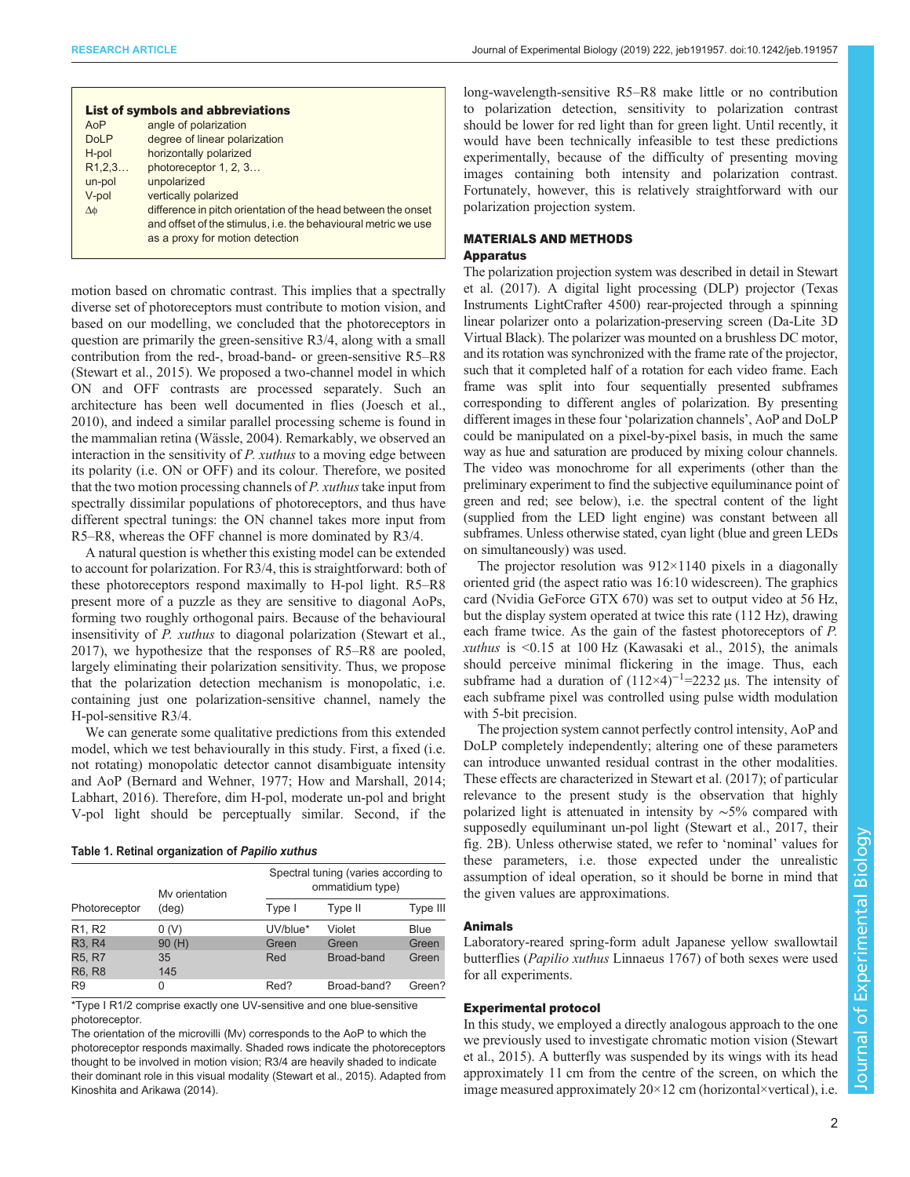<span id="page-1-0"></span>

| <b>List of symbols and abbreviations</b> |                                                                |  |  |  |  |  |  |
|------------------------------------------|----------------------------------------------------------------|--|--|--|--|--|--|
| AoP                                      | angle of polarization                                          |  |  |  |  |  |  |
| <b>DoLP</b>                              | degree of linear polarization                                  |  |  |  |  |  |  |
| H-pol                                    | horizontally polarized                                         |  |  |  |  |  |  |
| R1,2,3                                   | photoreceptor 1, 2, 3                                          |  |  |  |  |  |  |
| un-pol                                   | unpolarized                                                    |  |  |  |  |  |  |
| V-pol                                    | vertically polarized                                           |  |  |  |  |  |  |
| Δφ                                       | difference in pitch orientation of the head between the onset  |  |  |  |  |  |  |
|                                          | and offset of the stimulus, i.e. the behavioural metric we use |  |  |  |  |  |  |
|                                          | as a proxy for motion detection                                |  |  |  |  |  |  |
|                                          |                                                                |  |  |  |  |  |  |

motion based on chromatic contrast. This implies that a spectrally diverse set of photoreceptors must contribute to motion vision, and based on our modelling, we concluded that the photoreceptors in question are primarily the green-sensitive R3/4, along with a small contribution from the red-, broad-band- or green-sensitive R5–R8 [\(Stewart et al., 2015](#page-7-0)). We proposed a two-channel model in which ON and OFF contrasts are processed separately. Such an architecture has been well documented in flies [\(Joesch et al.,](#page-7-0) [2010](#page-7-0)), and indeed a similar parallel processing scheme is found in the mammalian retina [\(Wässle, 2004\)](#page-7-0). Remarkably, we observed an interaction in the sensitivity of *P. xuthus* to a moving edge between its polarity (i.e. ON or OFF) and its colour. Therefore, we posited that the two motion processing channels of  $P$ . xuthus take input from spectrally dissimilar populations of photoreceptors, and thus have different spectral tunings: the ON channel takes more input from R5–R8, whereas the OFF channel is more dominated by R3/4.

A natural question is whether this existing model can be extended to account for polarization. For R3/4, this is straightforward: both of these photoreceptors respond maximally to H-pol light. R5–R8 present more of a puzzle as they are sensitive to diagonal AoPs, forming two roughly orthogonal pairs. Because of the behavioural insensitivity of P. xuthus to diagonal polarization [\(Stewart et al.,](#page-7-0) [2017](#page-7-0)), we hypothesize that the responses of R5–R8 are pooled, largely eliminating their polarization sensitivity. Thus, we propose that the polarization detection mechanism is monopolatic, i.e. containing just one polarization-sensitive channel, namely the H-pol-sensitive R3/4.

We can generate some qualitative predictions from this extended model, which we test behaviourally in this study. First, a fixed (i.e. not rotating) monopolatic detector cannot disambiguate intensity and AoP ([Bernard and Wehner, 1977](#page-7-0); [How and Marshall, 2014](#page-7-0); [Labhart, 2016](#page-7-0)). Therefore, dim H-pol, moderate un-pol and bright V-pol light should be perceptually similar. Second, if the

|  |  | Table 1. Retinal organization of Papilio xuthus |  |  |  |
|--|--|-------------------------------------------------|--|--|--|
|--|--|-------------------------------------------------|--|--|--|

|                                 | My orientation<br>(deg) | Spectral tuning (varies according to<br>ommatidium type) |             |          |  |
|---------------------------------|-------------------------|----------------------------------------------------------|-------------|----------|--|
| Photoreceptor                   |                         | Type I                                                   | Type II     | Type III |  |
| R <sub>1</sub> , R <sub>2</sub> | 0(V)                    | UV/blue*                                                 | Violet      | Blue     |  |
| R <sub>3</sub> , R <sub>4</sub> | 90(H)                   | Green                                                    | Green       | Green    |  |
| R5, R7                          | 35                      | Red                                                      | Broad-band  | Green    |  |
| <b>R6, R8</b>                   | 145                     |                                                          |             |          |  |
| R <sub>9</sub>                  | 0                       | Red?                                                     | Broad-band? | Green?   |  |

\*Type I R1/2 comprise exactly one UV-sensitive and one blue-sensitive photoreceptor.

The orientation of the microvilli (Mv) corresponds to the AoP to which the photoreceptor responds maximally. Shaded rows indicate the photoreceptors thought to be involved in motion vision; R3/4 are heavily shaded to indicate their dominant role in this visual modality ([Stewart et al., 2015](#page-7-0)). Adapted from [Kinoshita and Arikawa \(2014\).](#page-7-0)

long-wavelength-sensitive R5–R8 make little or no contribution to polarization detection, sensitivity to polarization contrast should be lower for red light than for green light. Until recently, it would have been technically infeasible to test these predictions experimentally, because of the difficulty of presenting moving images containing both intensity and polarization contrast. Fortunately, however, this is relatively straightforward with our polarization projection system.

## MATERIALS AND METHODS

## Apparatus

The polarization projection system was described in detail in [Stewart](#page-7-0) [et al. \(2017\)](#page-7-0). A digital light processing (DLP) projector (Texas Instruments LightCrafter 4500) rear-projected through a spinning linear polarizer onto a polarization-preserving screen (Da-Lite 3D Virtual Black). The polarizer was mounted on a brushless DC motor, and its rotation was synchronized with the frame rate of the projector, such that it completed half of a rotation for each video frame. Each frame was split into four sequentially presented subframes corresponding to different angles of polarization. By presenting different images in these four 'polarization channels', AoP and DoLP could be manipulated on a pixel-by-pixel basis, in much the same way as hue and saturation are produced by mixing colour channels. The video was monochrome for all experiments (other than the preliminary experiment to find the subjective equiluminance point of green and red; see below), i.e. the spectral content of the light (supplied from the LED light engine) was constant between all subframes. Unless otherwise stated, cyan light (blue and green LEDs on simultaneously) was used.

The projector resolution was  $912 \times 1140$  pixels in a diagonally oriented grid (the aspect ratio was 16:10 widescreen). The graphics card (Nvidia GeForce GTX 670) was set to output video at 56 Hz, but the display system operated at twice this rate (112 Hz), drawing each frame twice. As the gain of the fastest photoreceptors of P. xuthus is  $\leq 0.15$  at 100 Hz ([Kawasaki et al., 2015](#page-7-0)), the animals should perceive minimal flickering in the image. Thus, each subframe had a duration of  $(112\times4)^{-1}$ =2232 μs. The intensity of each subframe pixel was controlled using pulse width modulation with 5-bit precision.

The projection system cannot perfectly control intensity, AoP and DoLP completely independently; altering one of these parameters can introduce unwanted residual contrast in the other modalities. These effects are characterized in [Stewart et al. \(2017\);](#page-7-0) of particular relevance to the present study is the observation that highly polarized light is attenuated in intensity by ∼5% compared with supposedly equiluminant un-pol light [\(Stewart et al., 2017,](#page-7-0) their fig. 2B). Unless otherwise stated, we refer to 'nominal' values for these parameters, i.e. those expected under the unrealistic assumption of ideal operation, so it should be borne in mind that the given values are approximations.

## Animals

Laboratory-reared spring-form adult Japanese yellow swallowtail butterflies (Papilio xuthus Linnaeus 1767) of both sexes were used for all experiments.

## Experimental protocol

In this study, we employed a directly analogous approach to the one we previously used to investigate chromatic motion vision ([Stewart](#page-7-0) [et al., 2015\)](#page-7-0). A butterfly was suspended by its wings with its head approximately 11 cm from the centre of the screen, on which the image measured approximately  $20 \times 12$  cm (horizontal×vertical), i.e.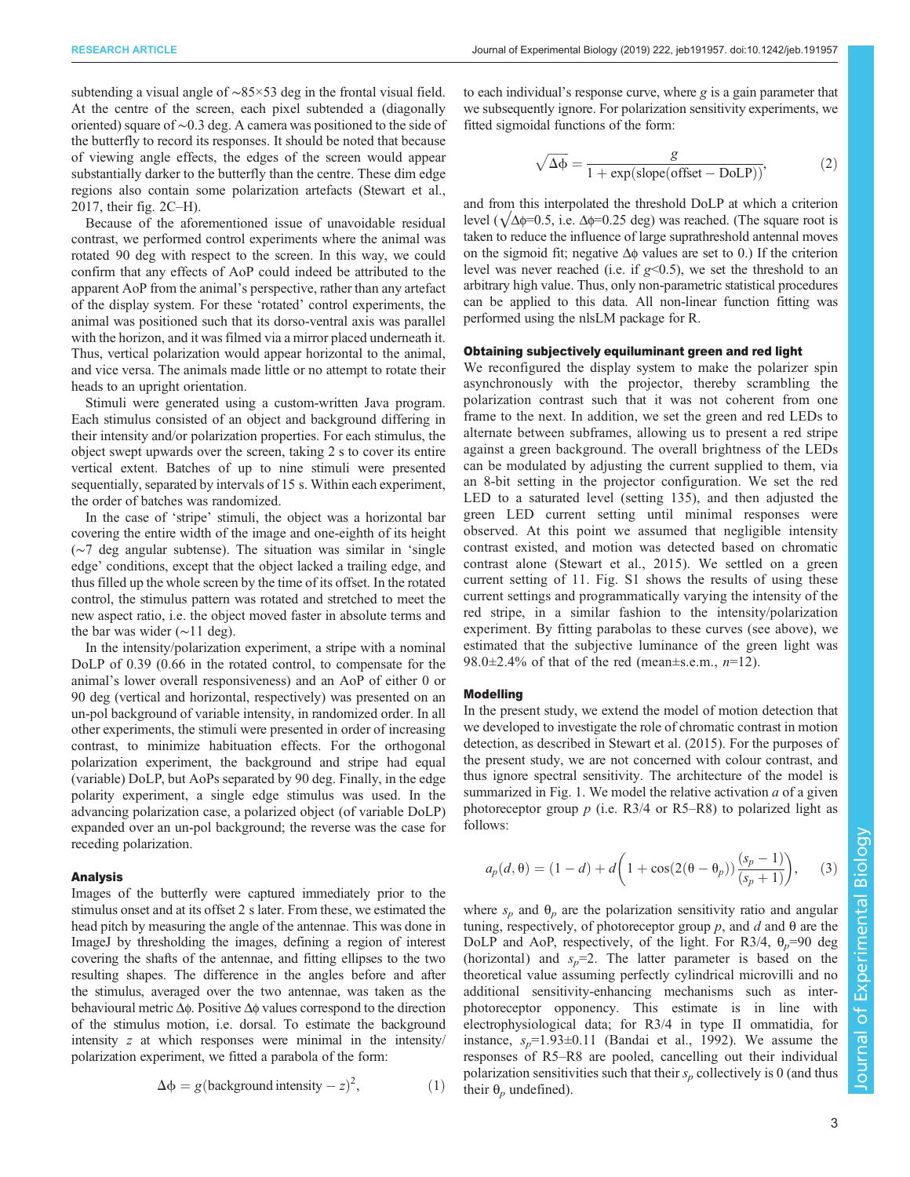subtending a visual angle of ~85×53 deg in the frontal visual field. At the centre of the screen, each pixel subtended a (diagonally oriented) square of ∼0.3 deg. A camera was positioned to the side of the butterfly to record its responses. It should be noted that because of viewing angle effects, the edges of the screen would appear substantially darker to the butterfly than the centre. These dim edge regions also contain some polarization artefacts ([Stewart et al.,](#page-7-0) [2017](#page-7-0), their fig. 2C–H).

Because of the aforementioned issue of unavoidable residual contrast, we performed control experiments where the animal was rotated 90 deg with respect to the screen. In this way, we could confirm that any effects of AoP could indeed be attributed to the apparent AoP from the animal's perspective, rather than any artefact of the display system. For these 'rotated' control experiments, the animal was positioned such that its dorso-ventral axis was parallel with the horizon, and it was filmed via a mirror placed underneath it. Thus, vertical polarization would appear horizontal to the animal, and vice versa. The animals made little or no attempt to rotate their heads to an upright orientation.

Stimuli were generated using a custom-written Java program. Each stimulus consisted of an object and background differing in their intensity and/or polarization properties. For each stimulus, the object swept upwards over the screen, taking 2 s to cover its entire vertical extent. Batches of up to nine stimuli were presented sequentially, separated by intervals of 15 s. Within each experiment, the order of batches was randomized.

In the case of 'stripe' stimuli, the object was a horizontal bar covering the entire width of the image and one-eighth of its height (∼7 deg angular subtense). The situation was similar in 'single edge' conditions, except that the object lacked a trailing edge, and thus filled up the whole screen by the time of its offset. In the rotated control, the stimulus pattern was rotated and stretched to meet the new aspect ratio, i.e. the object moved faster in absolute terms and the bar was wider (∼11 deg).

In the intensity/polarization experiment, a stripe with a nominal DoLP of 0.39 (0.66 in the rotated control, to compensate for the animal's lower overall responsiveness) and an AoP of either 0 or 90 deg (vertical and horizontal, respectively) was presented on an un-pol background of variable intensity, in randomized order. In all other experiments, the stimuli were presented in order of increasing contrast, to minimize habituation effects. For the orthogonal polarization experiment, the background and stripe had equal (variable) DoLP, but AoPs separated by 90 deg. Finally, in the edge polarity experiment, a single edge stimulus was used. In the advancing polarization case, a polarized object (of variable DoLP) expanded over an un-pol background; the reverse was the case for receding polarization.

#### Analysis

Images of the butterfly were captured immediately prior to the stimulus onset and at its offset 2 s later. From these, we estimated the head pitch by measuring the angle of the antennae. This was done in ImageJ by thresholding the images, defining a region of interest covering the shafts of the antennae, and fitting ellipses to the two resulting shapes. The difference in the angles before and after the stimulus, averaged over the two antennae, was taken as the behavioural metric Δφ. Positive Δφ values correspond to the direction of the stimulus motion, i.e. dorsal. To estimate the background intensity z at which responses were minimal in the intensity/ polarization experiment, we fitted a parabola of the form:

$$
\Delta \phi = g(\text{background intensity} - z)^2,\tag{1}
$$

to each individual's response curve, where  $g$  is a gain parameter that we subsequently ignore. For polarization sensitivity experiments, we fitted sigmoidal functions of the form:

$$
\sqrt{\Delta \Phi} = \frac{g}{1 + \exp(\text{slope(offset} - \text{DoLP}))},\tag{2}
$$

and from this interpolated the threshold DoLP at which a criterion level ( $\sqrt{\Delta \phi}$ =0.5, i.e.  $\Delta \phi$ =0.25 deg) was reached. (The square root is taken to reduce the influence of large suprathreshold antennal moves on the sigmoid fit; negative  $\Delta\phi$  values are set to 0.) If the criterion level was never reached (i.e. if  $g$ <0.5), we set the threshold to an arbitrary high value. Thus, only non-parametric statistical procedures can be applied to this data. All non-linear function fitting was performed using the nlsLM package for R.

#### Obtaining subjectively equiluminant green and red light

We reconfigured the display system to make the polarizer spin asynchronously with the projector, thereby scrambling the polarization contrast such that it was not coherent from one frame to the next. In addition, we set the green and red LEDs to alternate between subframes, allowing us to present a red stripe against a green background. The overall brightness of the LEDs can be modulated by adjusting the current supplied to them, via an 8-bit setting in the projector configuration. We set the red LED to a saturated level (setting 135), and then adjusted the green LED current setting until minimal responses were observed. At this point we assumed that negligible intensity contrast existed, and motion was detected based on chromatic contrast alone [\(Stewart et al., 2015](#page-7-0)). We settled on a green current setting of 11. [Fig. S1](http://jeb.biologists.org/lookup/doi/10.1242/jeb.191957.supplemental) shows the results of using these current settings and programmatically varying the intensity of the red stripe, in a similar fashion to the intensity/polarization experiment. By fitting parabolas to these curves (see above), we estimated that the subjective luminance of the green light was 98.0 $\pm$ 2.4% of that of the red (mean $\pm$ s.e.m., n=12).

#### Modelling

In the present study, we extend the model of motion detection that we developed to investigate the role of chromatic contrast in motion detection, as described in [Stewart et al. \(2015\)](#page-7-0). For the purposes of the present study, we are not concerned with colour contrast, and thus ignore spectral sensitivity. The architecture of the model is summarized in [Fig. 1.](#page-3-0) We model the relative activation  $a$  of a given photoreceptor group  $p$  (i.e. R3/4 or R5–R8) to polarized light as follows:

$$
a_p(d, \theta) = (1 - d) + d \bigg( 1 + \cos(2(\theta - \theta_p)) \frac{(s_p - 1)}{(s_p + 1)} \bigg), \quad (3)
$$

where  $s_n$  and  $\theta_n$  are the polarization sensitivity ratio and angular tuning, respectively, of photoreceptor group *, and*  $*d*$  *and*  $θ$  *are the* DoLP and AoP, respectively, of the light. For R3/4,  $\theta_p$ =90 deg (horizontal) and  $s_n=2$ . The latter parameter is based on the theoretical value assuming perfectly cylindrical microvilli and no additional sensitivity-enhancing mechanisms such as interphotoreceptor opponency. This estimate is in line with electrophysiological data; for R3/4 in type II ommatidia, for instance,  $s_p=1.93\pm0.11$  [\(Bandai et al., 1992](#page-7-0)). We assume the responses of R5–R8 are pooled, cancelling out their individual polarization sensitivities such that their  $s_p$  collectively is 0 (and thus their  $\theta_n$  undefined).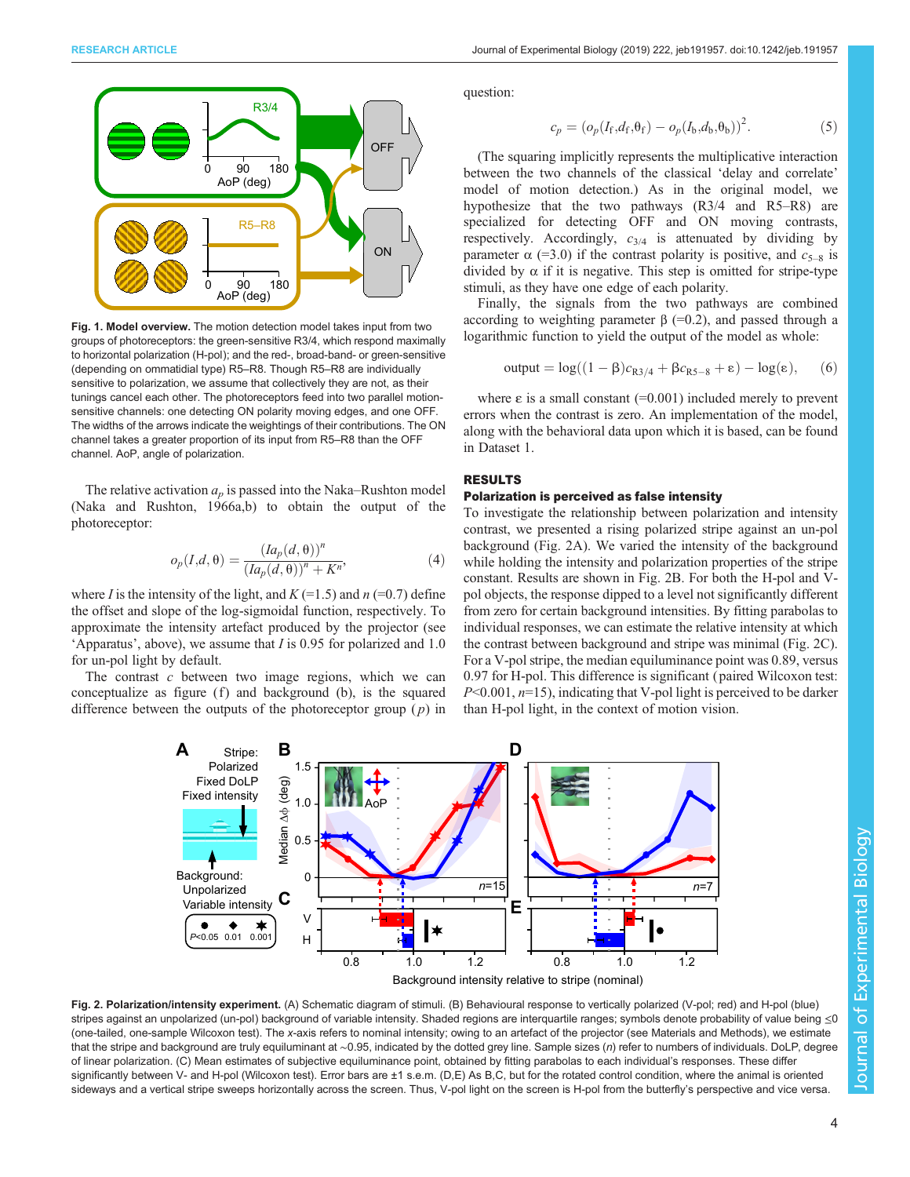<span id="page-3-0"></span>

Fig. 1. Model overview. The motion detection model takes input from two groups of photoreceptors: the green-sensitive R3/4, which respond maximally to horizontal polarization (H-pol); and the red-, broad-band- or green-sensitive (depending on ommatidial type) R5–R8. Though R5–R8 are individually sensitive to polarization, we assume that collectively they are not, as their tunings cancel each other. The photoreceptors feed into two parallel motionsensitive channels: one detecting ON polarity moving edges, and one OFF. The widths of the arrows indicate the weightings of their contributions. The ON channel takes a greater proportion of its input from R5–R8 than the OFF channel. AoP, angle of polarization.

The relative activation  $a_p$  is passed into the Naka–Rushton model [\(Naka and Rushton, 1966a,b\)](#page-7-0) to obtain the output of the photoreceptor:

$$
o_p(I,d,\theta) = \frac{(Ia_p(d,\theta))^n}{(Ia_p(d,\theta))^n + K^n},
$$
\n(4)

where *I* is the intensity of the light, and  $K$  (=1.5) and  $n$  (=0.7) define the offset and slope of the log-sigmoidal function, respectively. To approximate the intensity artefact produced by the projector (see 'Apparatus', above), we assume that I is 0.95 for polarized and 1.0 for un-pol light by default.

The contrast  $c$  between two image regions, which we can conceptualize as figure  $(f)$  and background  $(b)$ , is the squared difference between the outputs of the photoreceptor group  $(p)$  in question:

$$
c_p = (o_p(I_f, d_f, \theta_f) - o_p(I_b, d_b, \theta_b))^2.
$$
 (5)

(The squaring implicitly represents the multiplicative interaction between the two channels of the classical 'delay and correlate' model of motion detection.) As in the original model, we hypothesize that the two pathways (R3/4 and R5–R8) are specialized for detecting OFF and ON moving contrasts, respectively. Accordingly,  $c_{3/4}$  is attenuated by dividing by parameter  $\alpha$  (=3.0) if the contrast polarity is positive, and  $c_{5-8}$  is divided by  $\alpha$  if it is negative. This step is omitted for stripe-type stimuli, as they have one edge of each polarity.

Finally, the signals from the two pathways are combined according to weighting parameter  $β$  (=0.2), and passed through a logarithmic function to yield the output of the model as whole:

output = 
$$
log((1 - \beta)c_{R3/4} + \beta c_{R5-8} + \epsilon) - log(\epsilon)
$$
, (6)

where  $\varepsilon$  is a small constant (=0.001) included merely to prevent errors when the contrast is zero. An implementation of the model, along with the behavioral data upon which it is based, can be found in [Dataset 1](http://jeb.biologists.org/lookup/doi/10.1242/jeb.191957.supplemental).

## RESULTS

## Polarization is perceived as false intensity

To investigate the relationship between polarization and intensity contrast, we presented a rising polarized stripe against an un-pol background (Fig. 2A). We varied the intensity of the background while holding the intensity and polarization properties of the stripe constant. Results are shown in Fig. 2B. For both the H-pol and Vpol objects, the response dipped to a level not significantly different from zero for certain background intensities. By fitting parabolas to individual responses, we can estimate the relative intensity at which the contrast between background and stripe was minimal (Fig. 2C). For a V-pol stripe, the median equiluminance point was 0.89, versus 0.97 for H-pol. This difference is significant ( paired Wilcoxon test:  $P<0.001$ ,  $n=15$ ), indicating that V-pol light is perceived to be darker than H-pol light, in the context of motion vision.



Fig. 2. Polarization/intensity experiment. (A) Schematic diagram of stimuli. (B) Behavioural response to vertically polarized (V-pol; red) and H-pol (blue) stripes against an unpolarized (un-pol) background of variable intensity. Shaded regions are interquartile ranges; symbols denote probability of value being ≤0 (one-tailed, one-sample Wilcoxon test). The x-axis refers to nominal intensity; owing to an artefact of the projector (see Materials and Methods), we estimate that the stripe and background are truly equiluminant at ∼0.95, indicated by the dotted grey line. Sample sizes (n) refer to numbers of individuals. DoLP, degree of linear polarization. (C) Mean estimates of subjective equiluminance point, obtained by fitting parabolas to each individual's responses. These differ significantly between V- and H-pol (Wilcoxon test). Error bars are ±1 s.e.m. (D,E) As B,C, but for the rotated control condition, where the animal is oriented sideways and a vertical stripe sweeps horizontally across the screen. Thus, V-pol light on the screen is H-pol from the butterfly's perspective and vice versa.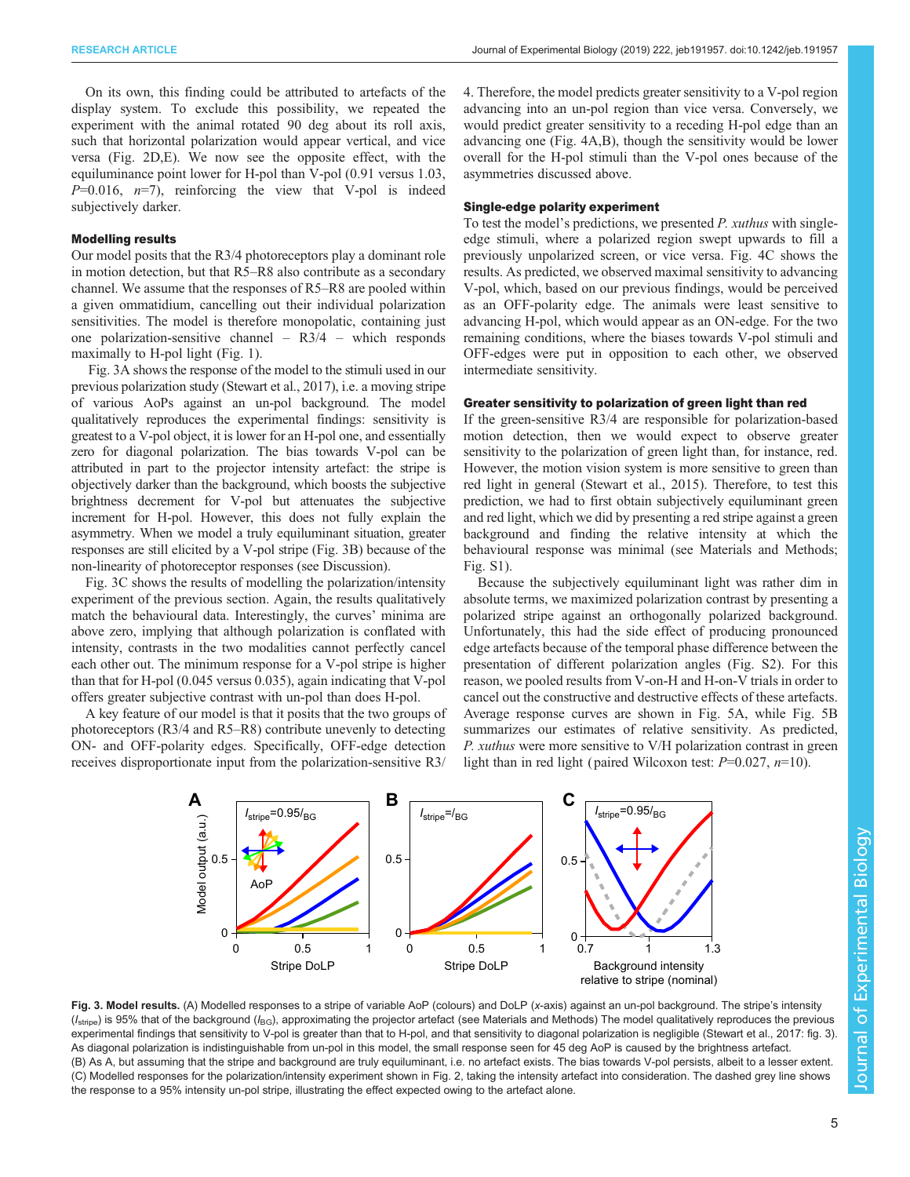<span id="page-4-0"></span>On its own, this finding could be attributed to artefacts of the display system. To exclude this possibility, we repeated the experiment with the animal rotated 90 deg about its roll axis, such that horizontal polarization would appear vertical, and vice versa ([Fig. 2](#page-3-0)D,E). We now see the opposite effect, with the equiluminance point lower for H-pol than V-pol (0.91 versus 1.03,  $P=0.016$ ,  $n=7$ ), reinforcing the view that V-pol is indeed subjectively darker.

## Modelling results

Our model posits that the R3/4 photoreceptors play a dominant role in motion detection, but that R5–R8 also contribute as a secondary channel. We assume that the responses of R5–R8 are pooled within a given ommatidium, cancelling out their individual polarization sensitivities. The model is therefore monopolatic, containing just one polarization-sensitive channel – R3/4 – which responds maximally to H-pol light [\(Fig. 1](#page-3-0)).

Fig. 3A shows the response of the model to the stimuli used in our previous polarization study [\(Stewart et al., 2017\)](#page-7-0), i.e. a moving stripe of various AoPs against an un-pol background. The model qualitatively reproduces the experimental findings: sensitivity is greatest to a V-pol object, it is lower for an H-pol one, and essentially zero for diagonal polarization. The bias towards V-pol can be attributed in part to the projector intensity artefact: the stripe is objectively darker than the background, which boosts the subjective brightness decrement for V-pol but attenuates the subjective increment for H-pol. However, this does not fully explain the asymmetry. When we model a truly equiluminant situation, greater responses are still elicited by a V-pol stripe (Fig. 3B) because of the non-linearity of photoreceptor responses (see Discussion).

Fig. 3C shows the results of modelling the polarization/intensity experiment of the previous section. Again, the results qualitatively match the behavioural data. Interestingly, the curves' minima are above zero, implying that although polarization is conflated with intensity, contrasts in the two modalities cannot perfectly cancel each other out. The minimum response for a V-pol stripe is higher than that for H-pol (0.045 versus 0.035), again indicating that V-pol offers greater subjective contrast with un-pol than does H-pol.

A key feature of our model is that it posits that the two groups of photoreceptors (R3/4 and R5–R8) contribute unevenly to detecting ON- and OFF-polarity edges. Specifically, OFF-edge detection receives disproportionate input from the polarization-sensitive R3/

4. Therefore, the model predicts greater sensitivity to a V-pol region advancing into an un-pol region than vice versa. Conversely, we would predict greater sensitivity to a receding H-pol edge than an advancing one [\(Fig. 4A](#page-5-0),B), though the sensitivity would be lower overall for the H-pol stimuli than the V-pol ones because of the asymmetries discussed above.

#### Single-edge polarity experiment

To test the model's predictions, we presented P. xuthus with singleedge stimuli, where a polarized region swept upwards to fill a previously unpolarized screen, or vice versa. [Fig. 4C](#page-5-0) shows the results. As predicted, we observed maximal sensitivity to advancing V-pol, which, based on our previous findings, would be perceived as an OFF-polarity edge. The animals were least sensitive to advancing H-pol, which would appear as an ON-edge. For the two remaining conditions, where the biases towards V-pol stimuli and OFF-edges were put in opposition to each other, we observed intermediate sensitivity.

### Greater sensitivity to polarization of green light than red

If the green-sensitive R3/4 are responsible for polarization-based motion detection, then we would expect to observe greater sensitivity to the polarization of green light than, for instance, red. However, the motion vision system is more sensitive to green than red light in general ([Stewart et al., 2015\)](#page-7-0). Therefore, to test this prediction, we had to first obtain subjectively equiluminant green and red light, which we did by presenting a red stripe against a green background and finding the relative intensity at which the behavioural response was minimal (see Materials and Methods; [Fig. S1\)](http://jeb.biologists.org/lookup/doi/10.1242/jeb.191957.supplemental).

Because the subjectively equiluminant light was rather dim in absolute terms, we maximized polarization contrast by presenting a polarized stripe against an orthogonally polarized background. Unfortunately, this had the side effect of producing pronounced edge artefacts because of the temporal phase difference between the presentation of different polarization angles ([Fig. S2\)](http://jeb.biologists.org/lookup/doi/10.1242/jeb.191957.supplemental). For this reason, we pooled results from V-on-H and H-on-V trials in order to cancel out the constructive and destructive effects of these artefacts. Average response curves are shown in [Fig. 5](#page-6-0)A, while [Fig. 5B](#page-6-0) summarizes our estimates of relative sensitivity. As predicted, P. xuthus were more sensitive to V/H polarization contrast in green light than in red light (paired Wilcoxon test:  $P=0.027$ ,  $n=10$ ).



Fig. 3. Model results. (A) Modelled responses to a stripe of variable AoP (colours) and DoLP (x-axis) against an un-pol background. The stripe's intensity  $(I_{\text{stripe}})$  is 95% that of the background ( $I_{\text{BG}}$ ), approximating the projector artefact (see Materials and Methods) The model qualitatively reproduces the previous experimental findings that sensitivity to V-pol is greater than that to H-pol, and that sensitivity to diagonal polarization is negligible (Stewart [et al., 2017](#page-7-0): fig. 3). As diagonal polarization is indistinguishable from un-pol in this model, the small response seen for 45 deg AoP is caused by the brightness artefact. (B) As A, but assuming that the stripe and background are truly equiluminant, i.e. no artefact exists. The bias towards V-pol persists, albeit to a lesser extent. (C) Modelled responses for the polarization/intensity experiment shown in [Fig. 2,](#page-3-0) taking the intensity artefact into consideration. The dashed grey line shows the response to a 95% intensity un-pol stripe, illustrating the effect expected owing to the artefact alone.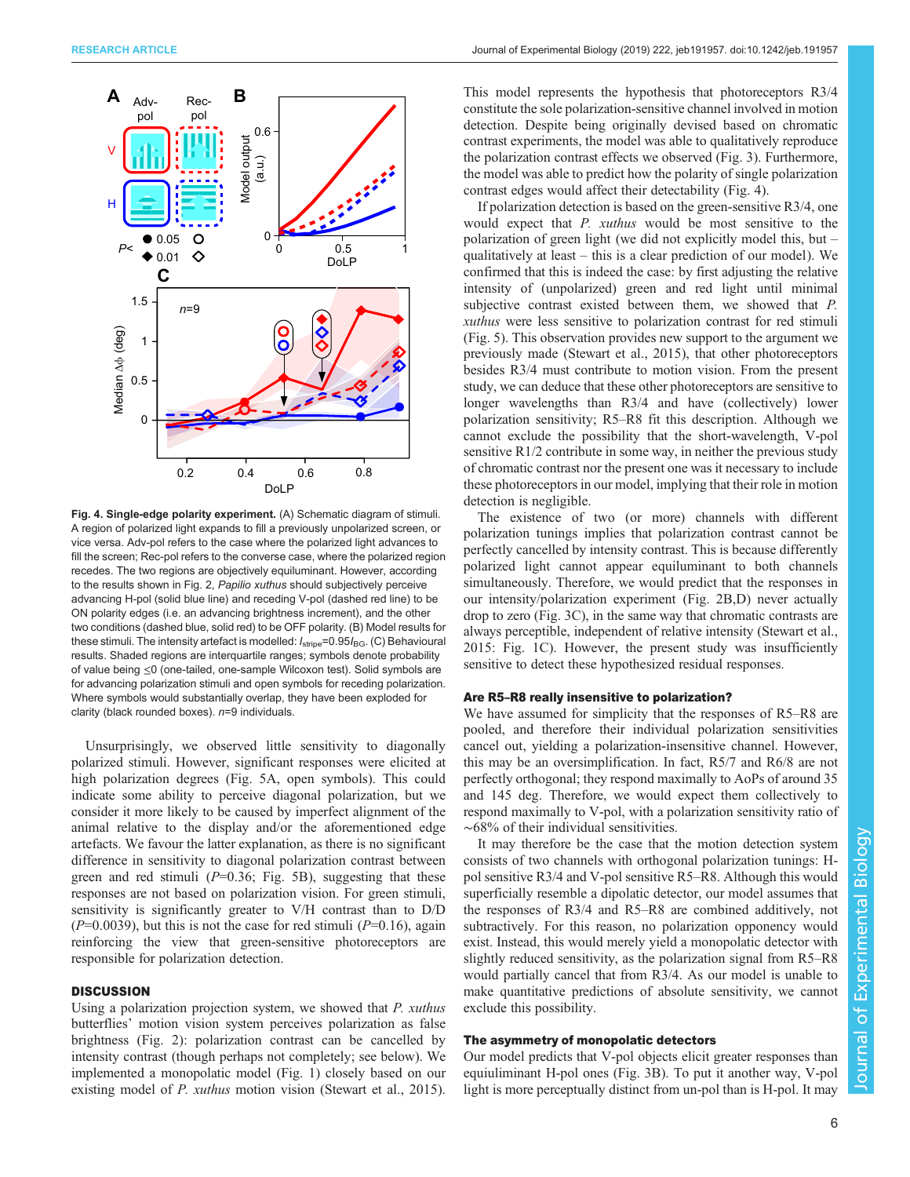<span id="page-5-0"></span>

Fig. 4. Single-edge polarity experiment. (A) Schematic diagram of stimuli. A region of polarized light expands to fill a previously unpolarized screen, or vice versa. Adv-pol refers to the case where the polarized light advances to fill the screen; Rec-pol refers to the converse case, where the polarized region recedes. The two regions are objectively equiluminant. However, according to the results shown in [Fig. 2,](#page-3-0) Papilio xuthus should subjectively perceive advancing H-pol (solid blue line) and receding V-pol (dashed red line) to be ON polarity edges (i.e. an advancing brightness increment), and the other two conditions (dashed blue, solid red) to be OFF polarity. (B) Model results for these stimuli. The intensity artefact is modelled:  $I_{\text{strip}}$ =0.95 $I_{\text{BG}}$ . (C) Behavioural results. Shaded regions are interquartile ranges; symbols denote probability of value being ≤0 (one-tailed, one-sample Wilcoxon test). Solid symbols are for advancing polarization stimuli and open symbols for receding polarization. Where symbols would substantially overlap, they have been exploded for clarity (black rounded boxes).  $n=9$  individuals.

Unsurprisingly, we observed little sensitivity to diagonally polarized stimuli. However, significant responses were elicited at high polarization degrees ([Fig. 5](#page-6-0)A, open symbols). This could indicate some ability to perceive diagonal polarization, but we consider it more likely to be caused by imperfect alignment of the animal relative to the display and/or the aforementioned edge artefacts. We favour the latter explanation, as there is no significant difference in sensitivity to diagonal polarization contrast between green and red stimuli  $(P=0.36;$  [Fig. 5](#page-6-0)B), suggesting that these responses are not based on polarization vision. For green stimuli, sensitivity is significantly greater to V/H contrast than to D/D  $(P=0.0039)$ , but this is not the case for red stimuli  $(P=0.16)$ , again reinforcing the view that green-sensitive photoreceptors are responsible for polarization detection.

## **DISCUSSION**

Using a polarization projection system, we showed that P. xuthus butterflies' motion vision system perceives polarization as false brightness [\(Fig. 2](#page-3-0)): polarization contrast can be cancelled by intensity contrast (though perhaps not completely; see below). We implemented a monopolatic model [\(Fig. 1](#page-3-0)) closely based on our existing model of *P. xuthus* motion vision ([Stewart et al., 2015\)](#page-7-0). This model represents the hypothesis that photoreceptors R3/4 constitute the sole polarization-sensitive channel involved in motion detection. Despite being originally devised based on chromatic contrast experiments, the model was able to qualitatively reproduce the polarization contrast effects we observed ([Fig. 3](#page-4-0)). Furthermore, the model was able to predict how the polarity of single polarization contrast edges would affect their detectability (Fig. 4).

If polarization detection is based on the green-sensitive R3/4, one would expect that P. xuthus would be most sensitive to the polarization of green light (we did not explicitly model this, but – qualitatively at least – this is a clear prediction of our model). We confirmed that this is indeed the case: by first adjusting the relative intensity of (unpolarized) green and red light until minimal subjective contrast existed between them, we showed that P. xuthus were less sensitive to polarization contrast for red stimuli [\(Fig. 5\)](#page-6-0). This observation provides new support to the argument we previously made [\(Stewart et al., 2015\)](#page-7-0), that other photoreceptors besides R3/4 must contribute to motion vision. From the present study, we can deduce that these other photoreceptors are sensitive to longer wavelengths than R3/4 and have (collectively) lower polarization sensitivity; R5–R8 fit this description. Although we cannot exclude the possibility that the short-wavelength, V-pol sensitive R1/2 contribute in some way, in neither the previous study of chromatic contrast nor the present one was it necessary to include these photoreceptors in our model, implying that their role in motion detection is negligible.

The existence of two (or more) channels with different polarization tunings implies that polarization contrast cannot be perfectly cancelled by intensity contrast. This is because differently polarized light cannot appear equiluminant to both channels simultaneously. Therefore, we would predict that the responses in our intensity/polarization experiment ([Fig. 2B](#page-3-0),D) never actually drop to zero ([Fig. 3C](#page-4-0)), in the same way that chromatic contrasts are always perceptible, independent of relative intensity ([Stewart et al.,](#page-7-0) [2015:](#page-7-0) [Fig. 1](#page-3-0)C). However, the present study was insufficiently sensitive to detect these hypothesized residual responses.

#### Are R5–R8 really insensitive to polarization?

We have assumed for simplicity that the responses of R5–R8 are pooled, and therefore their individual polarization sensitivities cancel out, yielding a polarization-insensitive channel. However, this may be an oversimplification. In fact, R5/7 and R6/8 are not perfectly orthogonal; they respond maximally to AoPs of around 35 and 145 deg. Therefore, we would expect them collectively to respond maximally to V-pol, with a polarization sensitivity ratio of ∼68% of their individual sensitivities.

It may therefore be the case that the motion detection system consists of two channels with orthogonal polarization tunings: Hpol sensitive R3/4 and V-pol sensitive R5–R8. Although this would superficially resemble a dipolatic detector, our model assumes that the responses of R3/4 and R5–R8 are combined additively, not subtractively. For this reason, no polarization opponency would exist. Instead, this would merely yield a monopolatic detector with slightly reduced sensitivity, as the polarization signal from R5–R8 would partially cancel that from R3/4. As our model is unable to make quantitative predictions of absolute sensitivity, we cannot exclude this possibility.

## The asymmetry of monopolatic detectors

Our model predicts that V-pol objects elicit greater responses than equiuliminant H-pol ones ([Fig. 3B](#page-4-0)). To put it another way, V-pol light is more perceptually distinct from un-pol than is H-pol. It may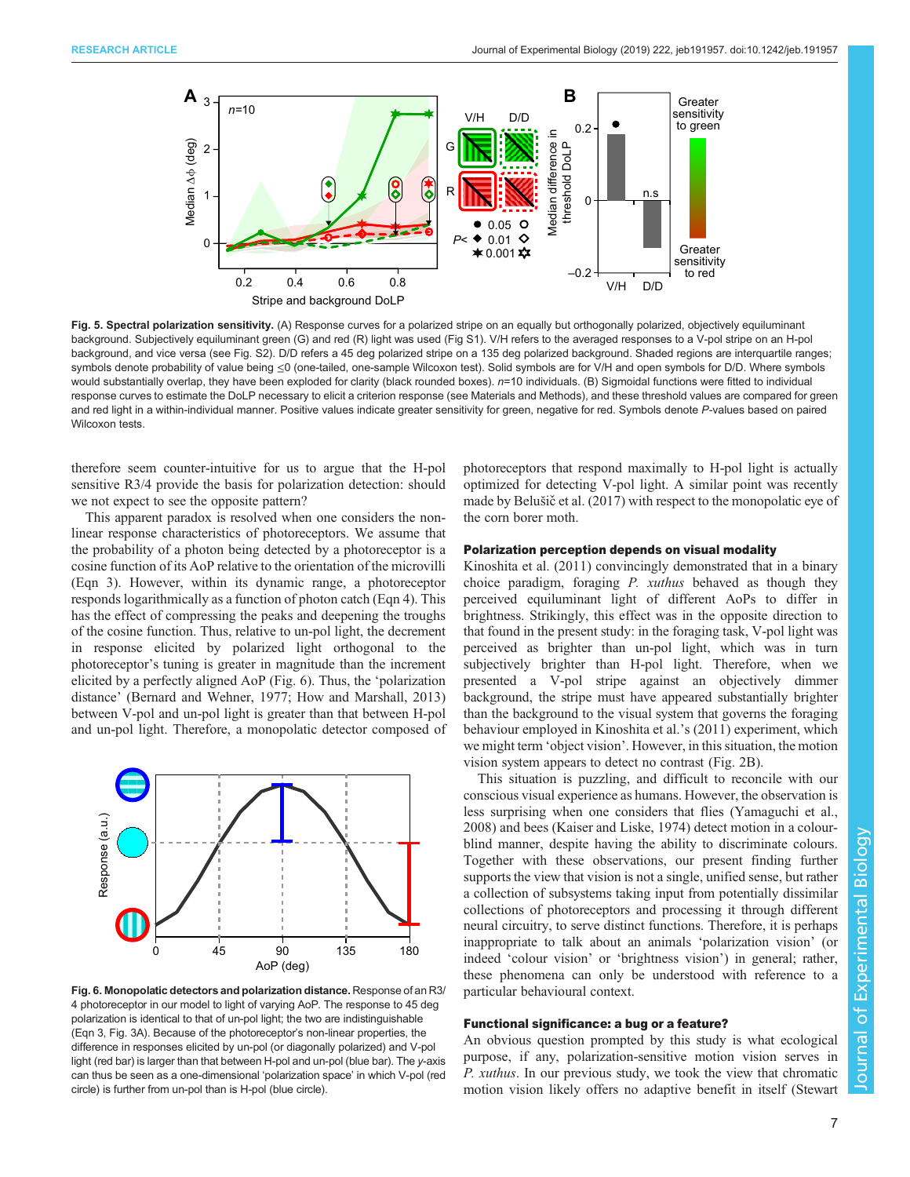<span id="page-6-0"></span>

Fig. 5. Spectral polarization sensitivity. (A) Response curves for a polarized stripe on an equally but orthogonally polarized, objectively equiluminant background. Subjectively equiluminant green (G) and red (R) light was used [\(Fig S1](http://jeb.biologists.org/lookup/doi/10.1242/jeb.191957.supplemental)). V/H refers to the averaged responses to a V-pol stripe on an H-pol background, and vice versa (see [Fig. S2](http://jeb.biologists.org/lookup/doi/10.1242/jeb.191957.supplemental)). D/D refers a 45 deg polarized stripe on a 135 deg polarized background. Shaded regions are interquartile ranges; symbols denote probability of value being ≤0 (one-tailed, one-sample Wilcoxon test). Solid symbols are for V/H and open symbols for D/D. Where symbols would substantially overlap, they have been exploded for clarity (black rounded boxes). n=10 individuals. (B) Sigmoidal functions were fitted to individual response curves to estimate the DoLP necessary to elicit a criterion response (see Materials and Methods), and these threshold values are compared for green and red light in a within-individual manner. Positive values indicate greater sensitivity for green, negative for red. Symbols denote P-values based on paired Wilcoxon tests

therefore seem counter-intuitive for us to argue that the H-pol sensitive R3/4 provide the basis for polarization detection: should we not expect to see the opposite pattern?

This apparent paradox is resolved when one considers the nonlinear response characteristics of photoreceptors. We assume that the probability of a photon being detected by a photoreceptor is a cosine function of its AoP relative to the orientation of the microvilli (Eqn 3). However, within its dynamic range, a photoreceptor responds logarithmically as a function of photon catch (Eqn 4). This has the effect of compressing the peaks and deepening the troughs of the cosine function. Thus, relative to un-pol light, the decrement in response elicited by polarized light orthogonal to the photoreceptor's tuning is greater in magnitude than the increment elicited by a perfectly aligned AoP (Fig. 6). Thus, the 'polarization distance' [\(Bernard and Wehner, 1977; How and Marshall, 2013\)](#page-7-0) between V-pol and un-pol light is greater than that between H-pol and un-pol light. Therefore, a monopolatic detector composed of



Fig. 6. Monopolatic detectors and polarization distance. Response of an R3/ 4 photoreceptor in our model to light of varying AoP. The response to 45 deg polarization is identical to that of un-pol light; the two are indistinguishable (Eqn 3, [Fig. 3A](#page-4-0)). Because of the photoreceptor's non-linear properties, the difference in responses elicited by un-pol (or diagonally polarized) and V-pol light (red bar) is larger than that between H-pol and un-pol (blue bar). The y-axis can thus be seen as a one-dimensional 'polarization space' in which V-pol (red circle) is further from un-pol than is H-pol (blue circle).

photoreceptors that respond maximally to H-pol light is actually optimized for detecting V-pol light. A similar point was recently made by Belušič [et al. \(2017\)](#page-7-0) with respect to the monopolatic eye of the corn borer moth.

## Polarization perception depends on visual modality

[Kinoshita et al. \(2011\)](#page-7-0) convincingly demonstrated that in a binary choice paradigm, foraging P. xuthus behaved as though they perceived equiluminant light of different AoPs to differ in brightness. Strikingly, this effect was in the opposite direction to that found in the present study: in the foraging task, V-pol light was perceived as brighter than un-pol light, which was in turn subjectively brighter than H-pol light. Therefore, when we presented a V-pol stripe against an objectively dimmer background, the stripe must have appeared substantially brighter than the background to the visual system that governs the foraging behaviour employed in [Kinoshita et al.](#page-7-0)'s (2011) experiment, which we might term 'object vision'. However, in this situation, the motion vision system appears to detect no contrast ([Fig. 2](#page-3-0)B).

This situation is puzzling, and difficult to reconcile with our conscious visual experience as humans. However, the observation is less surprising when one considers that flies [\(Yamaguchi et al.,](#page-7-0) [2008\)](#page-7-0) and bees ([Kaiser and Liske, 1974\)](#page-7-0) detect motion in a colourblind manner, despite having the ability to discriminate colours. Together with these observations, our present finding further supports the view that vision is not a single, unified sense, but rather a collection of subsystems taking input from potentially dissimilar collections of photoreceptors and processing it through different neural circuitry, to serve distinct functions. Therefore, it is perhaps inappropriate to talk about an animals 'polarization vision' (or indeed 'colour vision' or 'brightness vision') in general; rather, these phenomena can only be understood with reference to a particular behavioural context.

### Functional significance: a bug or a feature?

An obvious question prompted by this study is what ecological purpose, if any, polarization-sensitive motion vision serves in P. xuthus. In our previous study, we took the view that chromatic motion vision likely offers no adaptive benefit in itself ([Stewart](#page-7-0)